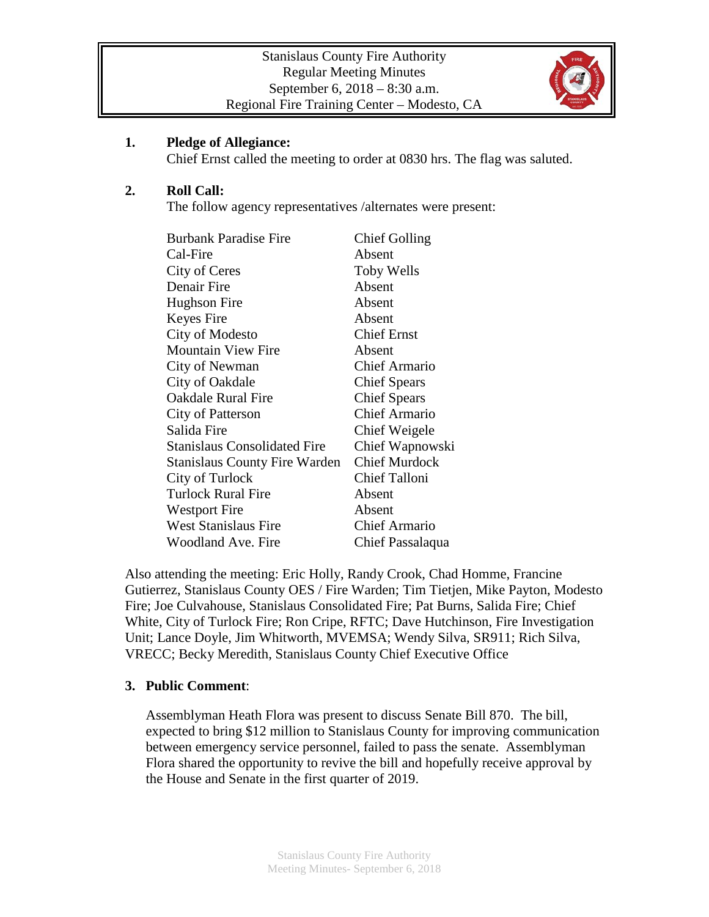

#### **1. Pledge of Allegiance:**

Chief Ernst called the meeting to order at 0830 hrs. The flag was saluted.

#### **2. Roll Call:**

The follow agency representatives /alternates were present:

| <b>Burbank Paradise Fire</b>         | <b>Chief Golling</b> |
|--------------------------------------|----------------------|
| Cal-Fire                             | Absent               |
| City of Ceres                        | <b>Toby Wells</b>    |
| Denair Fire                          | Absent               |
| Hughson Fire                         | Absent               |
| Keyes Fire                           | Absent               |
| City of Modesto                      | <b>Chief Ernst</b>   |
| <b>Mountain View Fire</b>            | Absent               |
| City of Newman                       | <b>Chief Armario</b> |
| City of Oakdale                      | <b>Chief Spears</b>  |
| Oakdale Rural Fire                   | <b>Chief Spears</b>  |
| City of Patterson                    | <b>Chief Armario</b> |
| Salida Fire                          | Chief Weigele        |
| <b>Stanislaus Consolidated Fire</b>  | Chief Wapnowski      |
| <b>Stanislaus County Fire Warden</b> | <b>Chief Murdock</b> |
| City of Turlock                      | <b>Chief Talloni</b> |
| <b>Turlock Rural Fire</b>            | Absent               |
| <b>Westport Fire</b>                 | Absent               |
| <b>West Stanislaus Fire</b>          | <b>Chief Armario</b> |
| Woodland Ave. Fire                   | Chief Passalaqua     |

Also attending the meeting: Eric Holly, Randy Crook, Chad Homme, Francine Gutierrez, Stanislaus County OES / Fire Warden; Tim Tietjen, Mike Payton, Modesto Fire; Joe Culvahouse, Stanislaus Consolidated Fire; Pat Burns, Salida Fire; Chief White, City of Turlock Fire; Ron Cripe, RFTC; Dave Hutchinson, Fire Investigation Unit; Lance Doyle, Jim Whitworth, MVEMSA; Wendy Silva, SR911; Rich Silva, VRECC; Becky Meredith, Stanislaus County Chief Executive Office

## **3. Public Comment**:

Assemblyman Heath Flora was present to discuss Senate Bill 870. The bill, expected to bring \$12 million to Stanislaus County for improving communication between emergency service personnel, failed to pass the senate. Assemblyman Flora shared the opportunity to revive the bill and hopefully receive approval by the House and Senate in the first quarter of 2019.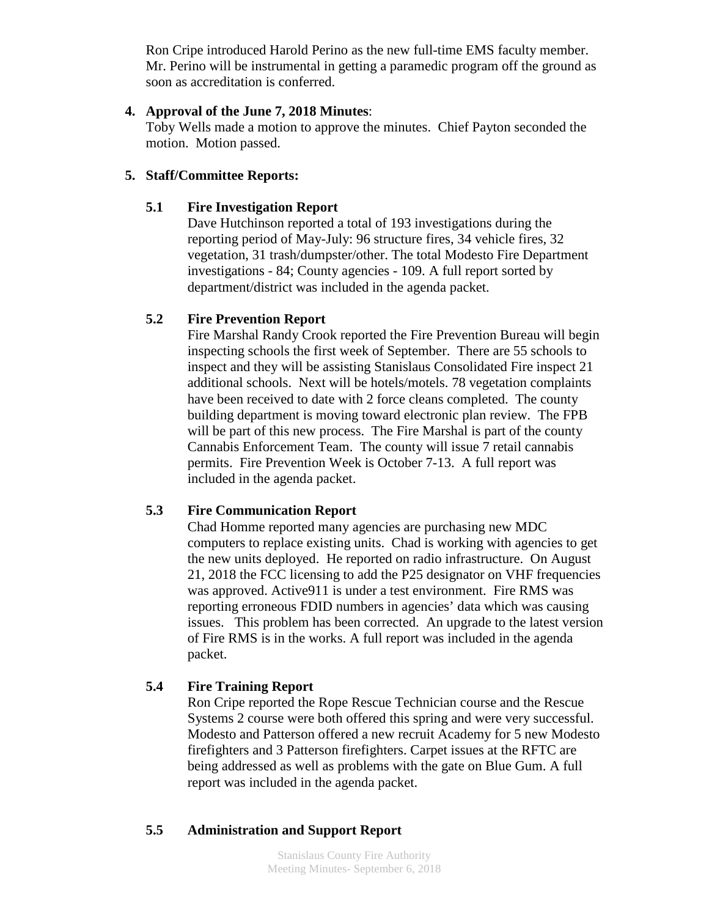Ron Cripe introduced Harold Perino as the new full-time EMS faculty member. Mr. Perino will be instrumental in getting a paramedic program off the ground as soon as accreditation is conferred.

#### **4. Approval of the June 7, 2018 Minutes**:

Toby Wells made a motion to approve the minutes. Chief Payton seconded the motion. Motion passed.

## **5. Staff/Committee Reports:**

## **5.1 Fire Investigation Report**

Dave Hutchinson reported a total of 193 investigations during the reporting period of May-July: 96 structure fires, 34 vehicle fires, 32 vegetation, 31 trash/dumpster/other. The total Modesto Fire Department investigations - 84; County agencies - 109. A full report sorted by department/district was included in the agenda packet.

# **5.2 Fire Prevention Report**

Fire Marshal Randy Crook reported the Fire Prevention Bureau will begin inspecting schools the first week of September. There are 55 schools to inspect and they will be assisting Stanislaus Consolidated Fire inspect 21 additional schools. Next will be hotels/motels. 78 vegetation complaints have been received to date with 2 force cleans completed. The county building department is moving toward electronic plan review. The FPB will be part of this new process. The Fire Marshal is part of the county Cannabis Enforcement Team. The county will issue 7 retail cannabis permits. Fire Prevention Week is October 7-13. A full report was included in the agenda packet.

## **5.3 Fire Communication Report**

Chad Homme reported many agencies are purchasing new MDC computers to replace existing units. Chad is working with agencies to get the new units deployed. He reported on radio infrastructure. On August 21, 2018 the FCC licensing to add the P25 designator on VHF frequencies was approved. Active911 is under a test environment. Fire RMS was reporting erroneous FDID numbers in agencies' data which was causing issues. This problem has been corrected. An upgrade to the latest version of Fire RMS is in the works. A full report was included in the agenda packet.

## **5.4 Fire Training Report**

Ron Cripe reported the Rope Rescue Technician course and the Rescue Systems 2 course were both offered this spring and were very successful. Modesto and Patterson offered a new recruit Academy for 5 new Modesto firefighters and 3 Patterson firefighters. Carpet issues at the RFTC are being addressed as well as problems with the gate on Blue Gum. A full report was included in the agenda packet.

## **5.5 Administration and Support Report**

Stanislaus County Fire Authority Meeting Minutes- September 6, 2018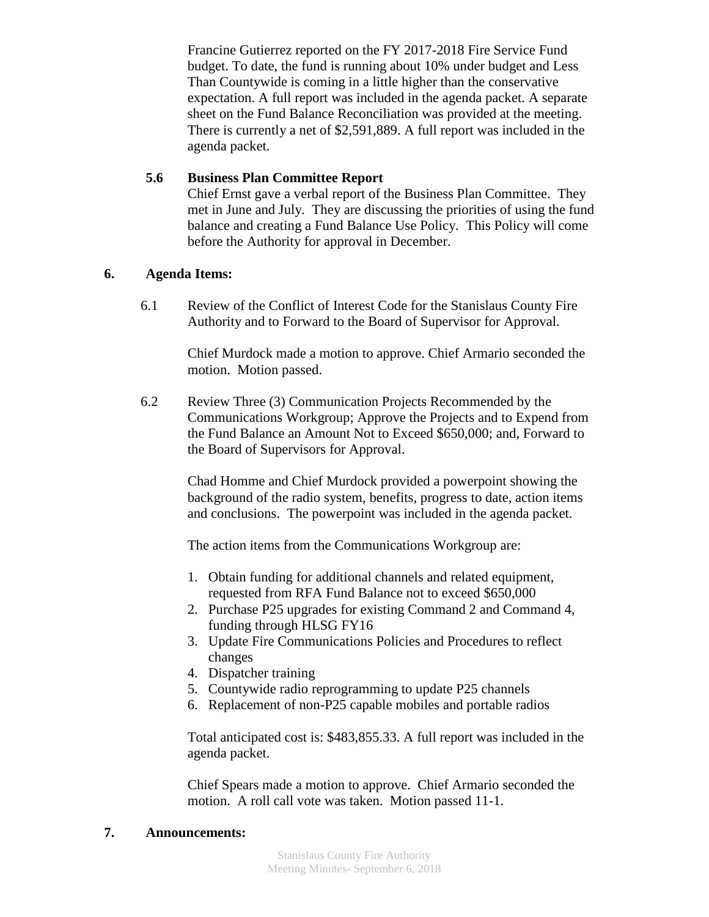Francine Gutierrez reported on the FY 2017-2018 Fire Service Fund budget. To date, the fund is running about 10% under budget and Less Than Countywide is coming in a little higher than the conservative expectation. A full report was included in the agenda packet. A separate sheet on the Fund Balance Reconciliation was provided at the meeting. There is currently a net of \$2,591,889. A full report was included in the agenda packet.

## **5.6 Business Plan Committee Report**

Chief Ernst gave a verbal report of the Business Plan Committee. They met in June and July. They are discussing the priorities of using the fund balance and creating a Fund Balance Use Policy. This Policy will come before the Authority for approval in December.

# **6. Agenda Items:**

6.1 Review of the Conflict of Interest Code for the Stanislaus County Fire Authority and to Forward to the Board of Supervisor for Approval.

> Chief Murdock made a motion to approve. Chief Armario seconded the motion. Motion passed.

6.2 Review Three (3) Communication Projects Recommended by the Communications Workgroup; Approve the Projects and to Expend from the Fund Balance an Amount Not to Exceed \$650,000; and, Forward to the Board of Supervisors for Approval.

> Chad Homme and Chief Murdock provided a powerpoint showing the background of the radio system, benefits, progress to date, action items and conclusions. The powerpoint was included in the agenda packet.

The action items from the Communications Workgroup are:

- 1. Obtain funding for additional channels and related equipment, requested from RFA Fund Balance not to exceed \$650,000
- 2. Purchase P25 upgrades for existing Command 2 and Command 4, funding through HLSG FY16
- 3. Update Fire Communications Policies and Procedures to reflect changes
- 4. Dispatcher training
- 5. Countywide radio reprogramming to update P25 channels
- 6. Replacement of non-P25 capable mobiles and portable radios

Total anticipated cost is: \$483,855.33. A full report was included in the agenda packet.

Chief Spears made a motion to approve. Chief Armario seconded the motion. A roll call vote was taken. Motion passed 11-1.

## **7. Announcements:**